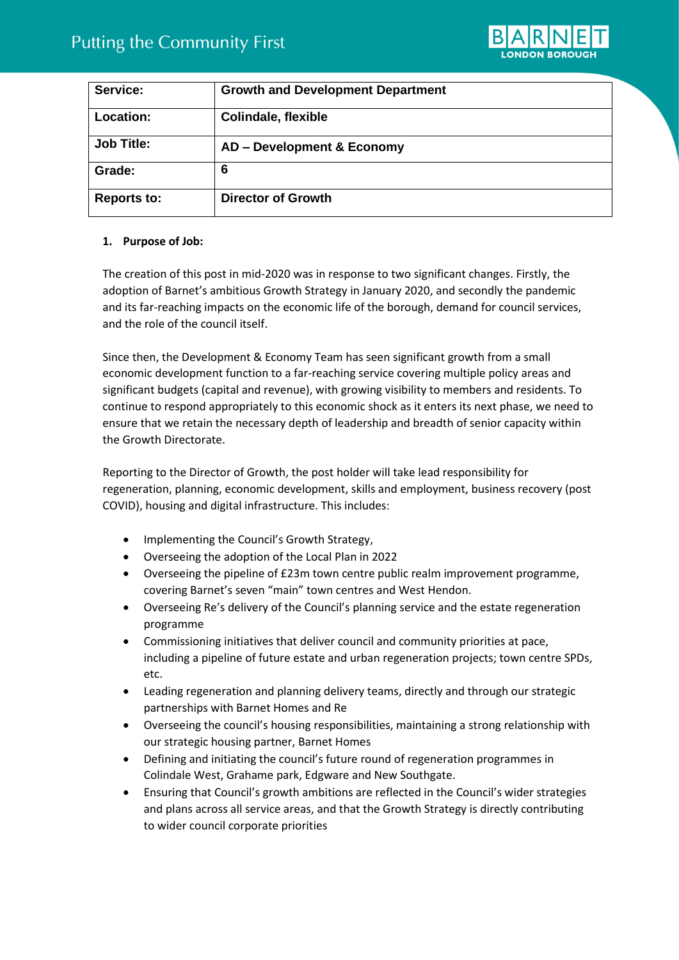

| Service:           | <b>Growth and Development Department</b> |
|--------------------|------------------------------------------|
| <b>Location:</b>   | <b>Colindale, flexible</b>               |
| <b>Job Title:</b>  | AD - Development & Economy               |
| Grade:             | 6                                        |
| <b>Reports to:</b> | <b>Director of Growth</b>                |

## **1. Purpose of Job:**

The creation of this post in mid-2020 was in response to two significant changes. Firstly, the adoption of Barnet's ambitious Growth Strategy in January 2020, and secondly the pandemic and its far-reaching impacts on the economic life of the borough, demand for council services, and the role of the council itself.

Since then, the Development & Economy Team has seen significant growth from a small economic development function to a far-reaching service covering multiple policy areas and significant budgets (capital and revenue), with growing visibility to members and residents. To continue to respond appropriately to this economic shock as it enters its next phase, we need to ensure that we retain the necessary depth of leadership and breadth of senior capacity within the Growth Directorate.

Reporting to the Director of Growth, the post holder will take lead responsibility for regeneration, planning, economic development, skills and employment, business recovery (post COVID), housing and digital infrastructure. This includes:

- Implementing the Council's Growth Strategy,
- Overseeing the adoption of the Local Plan in 2022
- Overseeing the pipeline of £23m town centre public realm improvement programme, covering Barnet's seven "main" town centres and West Hendon.
- Overseeing Re's delivery of the Council's planning service and the estate regeneration programme
- Commissioning initiatives that deliver council and community priorities at pace, including a pipeline of future estate and urban regeneration projects; town centre SPDs, etc.
- Leading regeneration and planning delivery teams, directly and through our strategic partnerships with Barnet Homes and Re
- Overseeing the council's housing responsibilities, maintaining a strong relationship with our strategic housing partner, Barnet Homes
- Defining and initiating the council's future round of regeneration programmes in Colindale West, Grahame park, Edgware and New Southgate.
- Ensuring that Council's growth ambitions are reflected in the Council's wider strategies and plans across all service areas, and that the Growth Strategy is directly contributing to wider council corporate priorities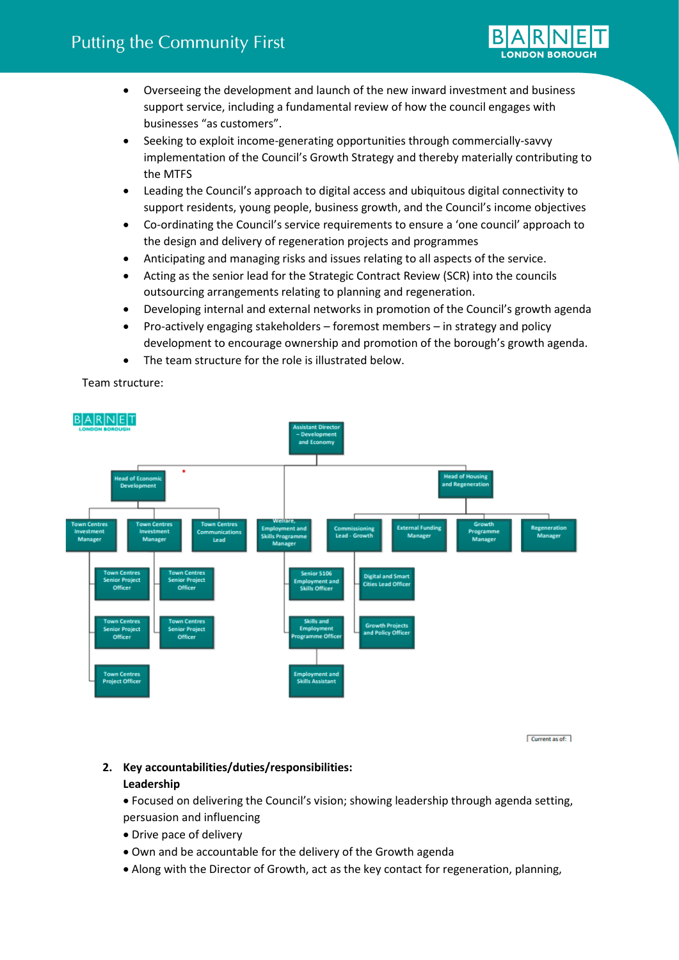

- Overseeing the development and launch of the new inward investment and business support service, including a fundamental review of how the council engages with businesses "as customers".
- Seeking to exploit income-generating opportunities through commercially-savvy implementation of the Council's Growth Strategy and thereby materially contributing to the MTFS
- Leading the Council's approach to digital access and ubiquitous digital connectivity to support residents, young people, business growth, and the Council's income objectives
- Co-ordinating the Council's service requirements to ensure a 'one council' approach to the design and delivery of regeneration projects and programmes
- Anticipating and managing risks and issues relating to all aspects of the service.
- Acting as the senior lead for the Strategic Contract Review (SCR) into the councils outsourcing arrangements relating to planning and regeneration.
- Developing internal and external networks in promotion of the Council's growth agenda
- Pro-actively engaging stakeholders foremost members in strategy and policy development to encourage ownership and promotion of the borough's growth agenda.
- The team structure for the role is illustrated below.

Team structure:



Current as of:

# **2. Key accountabilities/duties/responsibilities: Leadership**

• Focused on delivering the Council's vision; showing leadership through agenda setting, persuasion and influencing

- Drive pace of delivery
- Own and be accountable for the delivery of the Growth agenda
- Along with the Director of Growth, act as the key contact for regeneration, planning,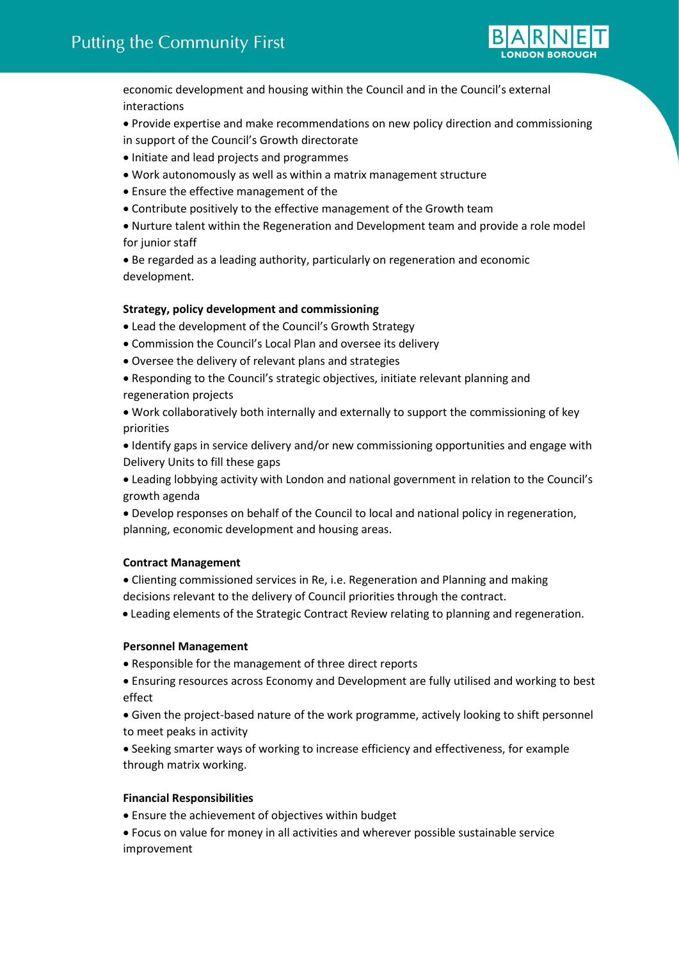

economic development and housing within the Council and in the Council's external interactions

• Provide expertise and make recommendations on new policy direction and commissioning in support of the Council's Growth directorate

- Initiate and lead projects and programmes
- Work autonomously as well as within a matrix management structure
- Ensure the effective management of the
- Contribute positively to the effective management of the Growth team

• Nurture talent within the Regeneration and Development team and provide a role model for junior staff

• Be regarded as a leading authority, particularly on regeneration and economic development.

#### **Strategy, policy development and commissioning**

- Lead the development of the Council's Growth Strategy
- Commission the Council's Local Plan and oversee its delivery
- Oversee the delivery of relevant plans and strategies
- Responding to the Council's strategic objectives, initiate relevant planning and regeneration projects
- Work collaboratively both internally and externally to support the commissioning of key priorities

• Identify gaps in service delivery and/or new commissioning opportunities and engage with Delivery Units to fill these gaps

• Leading lobbying activity with London and national government in relation to the Council's growth agenda

• Develop responses on behalf of the Council to local and national policy in regeneration, planning, economic development and housing areas.

### **Contract Management**

• Clienting commissioned services in Re, i.e. Regeneration and Planning and making decisions relevant to the delivery of Council priorities through the contract.

• Leading elements of the Strategic Contract Review relating to planning and regeneration.

#### **Personnel Management**

- Responsible for the management of three direct reports
- Ensuring resources across Economy and Development are fully utilised and working to best effect
- Given the project-based nature of the work programme, actively looking to shift personnel to meet peaks in activity

• Seeking smarter ways of working to increase efficiency and effectiveness, for example through matrix working.

### **Financial Responsibilities**

• Ensure the achievement of objectives within budget

• Focus on value for money in all activities and wherever possible sustainable service improvement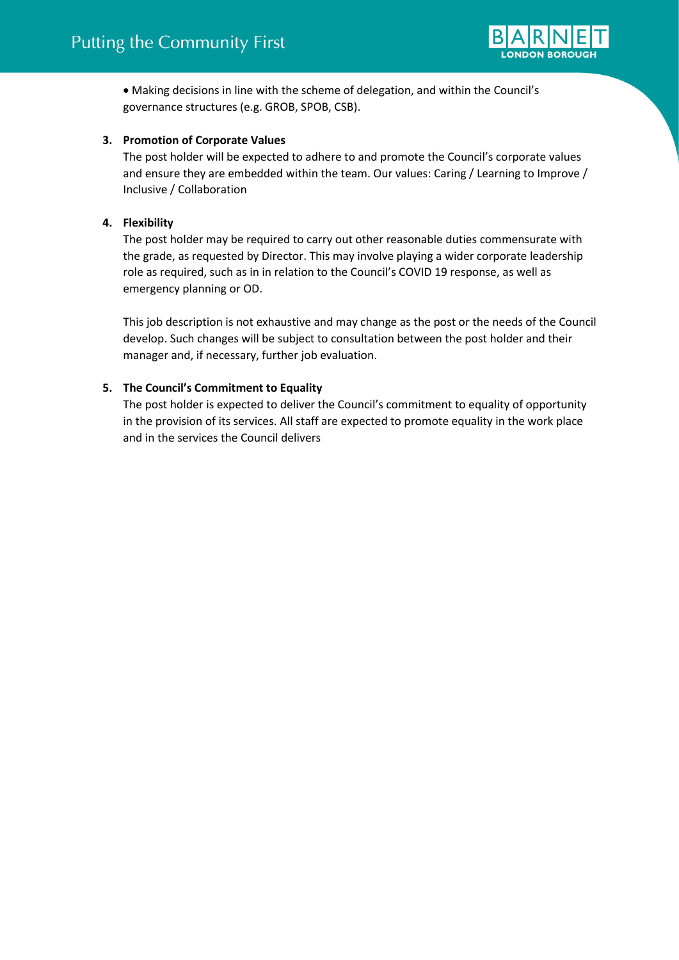

• Making decisions in line with the scheme of delegation, and within the Council's governance structures (e.g. GROB, SPOB, CSB).

## **3. Promotion of Corporate Values**

The post holder will be expected to adhere to and promote the Council's corporate values and ensure they are embedded within the team. Our values: Caring / Learning to Improve / Inclusive / Collaboration

## **4. Flexibility**

The post holder may be required to carry out other reasonable duties commensurate with the grade, as requested by Director. This may involve playing a wider corporate leadership role as required, such as in in relation to the Council's COVID 19 response, as well as emergency planning or OD.

This job description is not exhaustive and may change as the post or the needs of the Council develop. Such changes will be subject to consultation between the post holder and their manager and, if necessary, further job evaluation.

## **5. The Council's Commitment to Equality**

The post holder is expected to deliver the Council's commitment to equality of opportunity in the provision of its services. All staff are expected to promote equality in the work place and in the services the Council delivers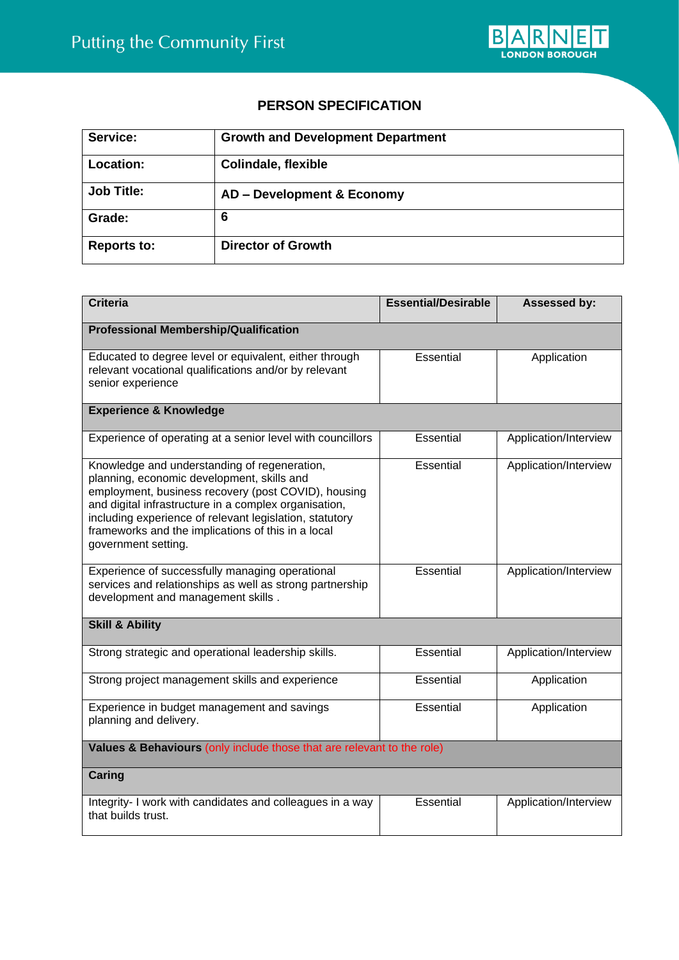

# **PERSON SPECIFICATION**

| Service:           | <b>Growth and Development Department</b> |
|--------------------|------------------------------------------|
| <b>Location:</b>   | <b>Colindale, flexible</b>               |
| <b>Job Title:</b>  | AD - Development & Economy               |
| Grade:             | 6                                        |
| <b>Reports to:</b> | <b>Director of Growth</b>                |

| <b>Criteria</b>                                                                                                                                                                                                                                                                                                                                    | <b>Essential/Desirable</b> | Assessed by:          |  |  |
|----------------------------------------------------------------------------------------------------------------------------------------------------------------------------------------------------------------------------------------------------------------------------------------------------------------------------------------------------|----------------------------|-----------------------|--|--|
| <b>Professional Membership/Qualification</b>                                                                                                                                                                                                                                                                                                       |                            |                       |  |  |
| Educated to degree level or equivalent, either through<br>relevant vocational qualifications and/or by relevant<br>senior experience                                                                                                                                                                                                               | Essential                  | Application           |  |  |
| <b>Experience &amp; Knowledge</b>                                                                                                                                                                                                                                                                                                                  |                            |                       |  |  |
| Experience of operating at a senior level with councillors                                                                                                                                                                                                                                                                                         | Essential                  | Application/Interview |  |  |
| Knowledge and understanding of regeneration,<br>planning, economic development, skills and<br>employment, business recovery (post COVID), housing<br>and digital infrastructure in a complex organisation,<br>including experience of relevant legislation, statutory<br>frameworks and the implications of this in a local<br>government setting. | Essential                  | Application/Interview |  |  |
| Experience of successfully managing operational<br>services and relationships as well as strong partnership<br>development and management skills.                                                                                                                                                                                                  | Essential                  | Application/Interview |  |  |
| <b>Skill &amp; Ability</b>                                                                                                                                                                                                                                                                                                                         |                            |                       |  |  |
| Strong strategic and operational leadership skills.                                                                                                                                                                                                                                                                                                | Essential                  | Application/Interview |  |  |
| Strong project management skills and experience                                                                                                                                                                                                                                                                                                    | Essential                  | Application           |  |  |
| Experience in budget management and savings<br>planning and delivery.                                                                                                                                                                                                                                                                              | Essential                  | Application           |  |  |
| Values & Behaviours (only include those that are relevant to the role)                                                                                                                                                                                                                                                                             |                            |                       |  |  |
| Caring                                                                                                                                                                                                                                                                                                                                             |                            |                       |  |  |
| Integrity- I work with candidates and colleagues in a way<br>that builds trust.                                                                                                                                                                                                                                                                    | Essential                  | Application/Interview |  |  |